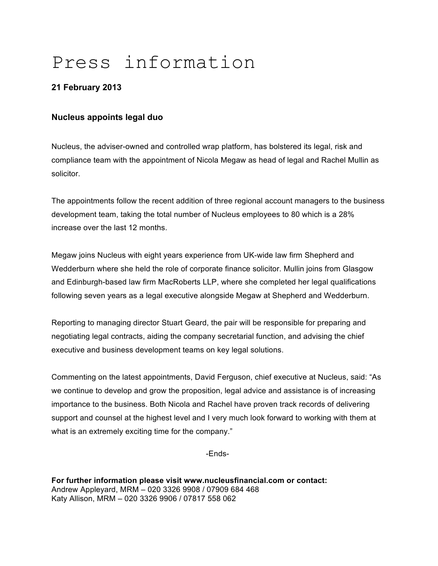# Press information

## **21 February 2013**

## **Nucleus appoints legal duo**

Nucleus, the adviser-owned and controlled wrap platform, has bolstered its legal, risk and compliance team with the appointment of Nicola Megaw as head of legal and Rachel Mullin as solicitor.

The appointments follow the recent addition of three regional account managers to the business development team, taking the total number of Nucleus employees to 80 which is a 28% increase over the last 12 months.

Megaw joins Nucleus with eight years experience from UK-wide law firm Shepherd and Wedderburn where she held the role of corporate finance solicitor. Mullin joins from Glasgow and Edinburgh-based law firm MacRoberts LLP, where she completed her legal qualifications following seven years as a legal executive alongside Megaw at Shepherd and Wedderburn.

Reporting to managing director Stuart Geard, the pair will be responsible for preparing and negotiating legal contracts, aiding the company secretarial function, and advising the chief executive and business development teams on key legal solutions.

Commenting on the latest appointments, David Ferguson, chief executive at Nucleus, said: "As we continue to develop and grow the proposition, legal advice and assistance is of increasing importance to the business. Both Nicola and Rachel have proven track records of delivering support and counsel at the highest level and I very much look forward to working with them at what is an extremely exciting time for the company."

-Ends-

**For further information please visit www.nucleusfinancial.com or contact:** Andrew Appleyard, MRM – 020 3326 9908 / 07909 684 468 Katy Allison, MRM – 020 3326 9906 / 07817 558 062